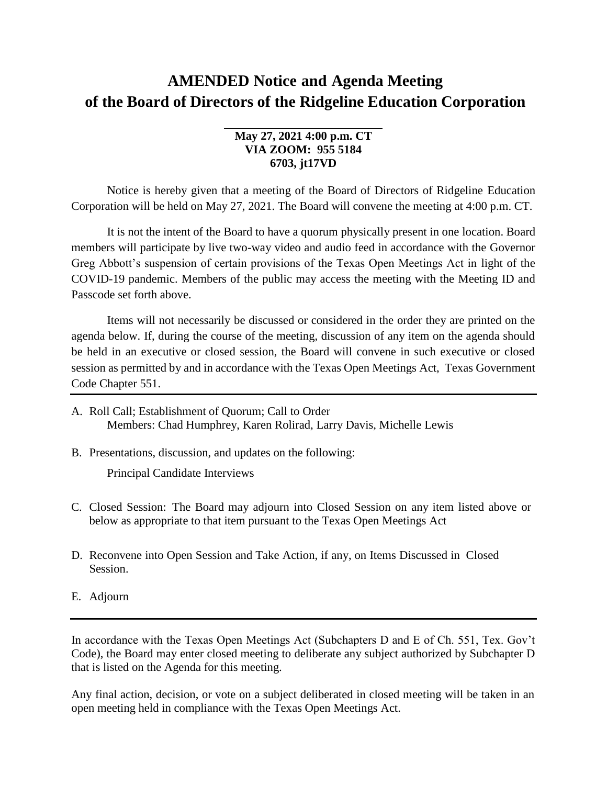## **AMENDED Notice and Agenda Meeting of the Board of Directors of the Ridgeline Education Corporation**

## **May 27, 2021 4:00 p.m. CT VIA ZOOM: 955 5184 6703, jt17VD**

Notice is hereby given that a meeting of the Board of Directors of Ridgeline Education Corporation will be held on May 27, 2021. The Board will convene the meeting at 4:00 p.m. CT.

It is not the intent of the Board to have a quorum physically present in one location. Board members will participate by live two-way video and audio feed in accordance with the Governor Greg Abbott's suspension of certain provisions of the Texas Open Meetings Act in light of the COVID-19 pandemic. Members of the public may access the meeting with the Meeting ID and Passcode set forth above.

Items will not necessarily be discussed or considered in the order they are printed on the agenda below. If, during the course of the meeting, discussion of any item on the agenda should be held in an executive or closed session, the Board will convene in such executive or closed session as permitted by and in accordance with the Texas Open Meetings Act, Texas Government Code Chapter 551.

- A. Roll Call; Establishment of Quorum; Call to Order Members: Chad Humphrey, Karen Rolirad, Larry Davis, Michelle Lewis
- B. Presentations, discussion, and updates on the following:

Principal Candidate Interviews

- C. Closed Session: The Board may adjourn into Closed Session on any item listed above or below as appropriate to that item pursuant to the Texas Open Meetings Act
- D. Reconvene into Open Session and Take Action, if any, on Items Discussed in Closed Session.
- E. Adjourn

In accordance with the Texas Open Meetings Act (Subchapters D and E of Ch. 551, Tex. Gov't Code), the Board may enter closed meeting to deliberate any subject authorized by Subchapter D that is listed on the Agenda for this meeting.

Any final action, decision, or vote on a subject deliberated in closed meeting will be taken in an open meeting held in compliance with the Texas Open Meetings Act.